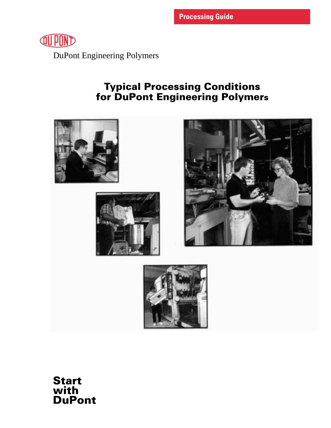

DuPont Engineering Polymers

# Typical Processing Conditions for DuPont Engineering Polymers



Start with DuPont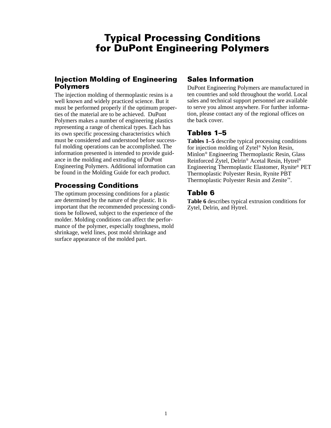#### Typical Processing Conditions for DuPont Engineering Polymers

#### Injection Molding of Engineering Polymers

The injection molding of thermoplastic resins is a well known and widely practiced science. But it must be performed properly if the optimum properties of the material are to be achieved. DuPont Polymers makes a number of engineering plastics representing a range of chemical types. Each has its own specific processing characteristics which must be considered and understood before successful molding operations can be accomplished. The information presented is intended to provide guidance in the molding and extruding of DuPont Engineering Polymers. Additional information can be found in the Molding Guide for each product.

#### Processing Conditions

The optimum processing conditions for a plastic are determined by the nature of the plastic. It is important that the recommended processing conditions be followed, subject to the experience of the molder. Molding conditions can affect the performance of the polymer, especially toughness, mold shrinkage, weld lines, post mold shrinkage and surface appearance of the molded part.

#### Sales Information

DuPont Engineering Polymers are manufactured in ten countries and sold throughout the world. Local sales and technical support personnel are available to serve you almost anywhere. For further information, please contact any of the regional offices on the back cover.

#### Tables 1–5

**Tables 1–5** describe typical processing conditions for injection molding of Zytel® Nylon Resin, Minlon® Engineering Thermoplastic Resin, Glass Reinforced Zytel, Delrin® Acetal Resin, Hytrel® Engineering Thermoplastic Elastomer, Rynite® PET Thermoplastic Polyester Resin, Rynite PBT Thermoplastic Polyester Resin and Zenite™.

#### Table 6

**Table 6** describes typical extrusion conditions for Zytel, Delrin, and Hytrel.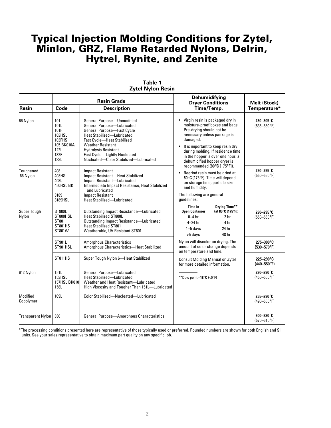|                       |                                                                                      | <b>Resin Grade</b>                                                                                                                                                                                                                                                                                          | <b>Dehumidifying</b><br><b>Dryer Conditions</b>                                                                                                                                                                                                                                                                   | Melt (Stock)                  |  |
|-----------------------|--------------------------------------------------------------------------------------|-------------------------------------------------------------------------------------------------------------------------------------------------------------------------------------------------------------------------------------------------------------------------------------------------------------|-------------------------------------------------------------------------------------------------------------------------------------------------------------------------------------------------------------------------------------------------------------------------------------------------------------------|-------------------------------|--|
| <b>Resin</b>          | Code                                                                                 | <b>Description</b>                                                                                                                                                                                                                                                                                          | Time/Temp.                                                                                                                                                                                                                                                                                                        | Temperature*                  |  |
| 66 Nylon              | 101<br>101L<br>101F<br>103HSL<br>103FHS<br>105 BK010A<br><b>122L</b><br>132F<br>133L | General Purpose-Unmodified<br>General Purpose-Lubricated<br><b>General Purpose-Fast Cycle</b><br><b>Heat Stabilized-Lubricated</b><br><b>Fast Cycle-Heat Stabilized</b><br><b>Weather Resistant</b><br><b>Hydrolysis Resistant</b><br>Fast Cycle-Lightly Nucleated<br>Nucleated-Color Stabilized-Lubricated | Virgin resin is packaged dry in<br>$\bullet$<br>moisture-proof boxes and bags.<br>Pre-drying should not be<br>necessary unless package is<br>damaged.<br>It is important to keep resin dry<br>$\bullet$<br>during molding. If residence time<br>in the hopper is over one hour, a<br>dehumidified hopper dryer is | 280-305°C<br>$(535 - 580$ °F) |  |
| Toughened<br>66 Nylon | 408<br>408HS<br>408L<br>450HSL BK<br>3189<br>3189HSL                                 | <b>Impact Resistant</b><br>Impact Resistant-Heat Stabilized<br>Impact Resistant-Lubricated<br>Intermediate Impact Resistance, Heat Stabilized<br>and Lubricated<br><b>Impact Resistant</b><br>Heat Stabilized-Lubricated                                                                                    | recommended (80°C [175°F]).<br>Regrind resin must be dried at<br>$\bullet$<br>80°C (175°F). Time will depend<br>on storage time, particle size<br>and humidity.<br>The following are general<br>quidelines:                                                                                                       | 290-295°C<br>$(550 - 560$ °F) |  |
| Super Tough<br>Nylon  | <b>ST800L</b><br>ST800HSL<br>ST801<br><b>ST801HS</b><br>ST801W                       | <b>Outstanding Impact Resistance-Lubricated</b><br><b>Heat Stabilized ST800L</b><br>Outstanding Impact Resistance-Lubricated<br><b>Heat Stabilized ST801</b><br>Weatherable, UV Resistant ST801                                                                                                             | Drying Time**<br>Time in<br>(at 80°C [175°F])<br><b>Open Container</b><br>$0-4$ hr<br>2 <sub>hr</sub><br>4 hr<br>$4-24$ hr<br>24 hr<br>$1-5$ days<br>48 hr<br>>5 days                                                                                                                                             | 290-295°C<br>$(550 - 560$ °F) |  |
|                       | ST901L<br>ST901HSL                                                                   | <b>Amorphous Characteristics</b><br>Amorphous Characteristics-Heat Stabilized                                                                                                                                                                                                                               | Nylon will discolor on drying. The<br>amount of color change depends<br>on temperature and time.                                                                                                                                                                                                                  | 275-300°C<br>$(530 - 570$ °F) |  |
|                       | <b>ST811HS</b>                                                                       | Super Tough Nylon 6-Heat Stabilized                                                                                                                                                                                                                                                                         | <b>Consult Molding Manual on Zytel</b><br>for more detailed information.                                                                                                                                                                                                                                          | 225-290°C<br>$(440 - 550$ °F) |  |
| 612 Nylon             | 151L<br><b>153HSL</b><br><b>157HSL BK010</b><br>158L                                 | General Purpose-Lubricated<br><b>Heat Stabilized-Lubricated</b><br>Weather and Heat Resistant-Lubricated<br>High Viscosity and Tougher Than 151L-Lubricated                                                                                                                                                 | **Dew point $-18^{\circ}C$ (<0°F)                                                                                                                                                                                                                                                                                 | 230-290°C<br>$(450 - 550$ °F) |  |
| Modified<br>Copolymer | 109L                                                                                 | Color Stabilized-Nucleated-Lubricated                                                                                                                                                                                                                                                                       |                                                                                                                                                                                                                                                                                                                   | 255-290°C<br>$(490 - 550$ °F) |  |
| Transparent Nylon     | 330                                                                                  | General Purpose-Amorphous Characteristics                                                                                                                                                                                                                                                                   |                                                                                                                                                                                                                                                                                                                   | 300-320°C<br>$(570 - 610$ °F) |  |

#### **Table 1 Zytel Nylon Resin**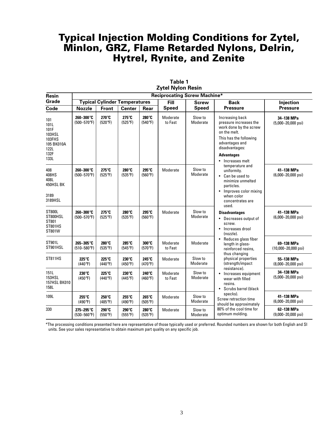| Resin                                                                         | <b>Reciprocating Screw Machine*</b> |                                   |                                      |                           |                     |                     |                                                                                                                                                                                            |                                               |
|-------------------------------------------------------------------------------|-------------------------------------|-----------------------------------|--------------------------------------|---------------------------|---------------------|---------------------|--------------------------------------------------------------------------------------------------------------------------------------------------------------------------------------------|-----------------------------------------------|
| Grade                                                                         |                                     |                                   | <b>Typical Cylinder Temperatures</b> |                           | <b>Fill</b>         | <b>Screw</b>        | <b>Back</b>                                                                                                                                                                                | Injection                                     |
| Code                                                                          | <b>Nozzle</b>                       | Front                             | <b>Center</b>                        | Rear                      | <b>Speed</b>        | <b>Speed</b>        | <b>Pressure</b>                                                                                                                                                                            | <b>Pressure</b>                               |
| 101<br>101L<br>101F<br>103HSL<br>103FHS<br>105 BK010A<br>122L<br>132F<br>133L | 260-300°C<br>$(500 - 570$ °F)       | 270°C<br>(520°F)                  | 275°C<br>$(525^{\circ}F)$            | 280°C<br>(540°F)          | Moderate<br>to Fast | Slow to<br>Moderate | Increasing back<br>pressure increases the<br>work done by the screw<br>on the melt.<br>This has the following<br>advantages and<br>disadvantages:<br><b>Advantages</b><br>• Increases melt | 34-138 MPa<br>$(5,000-20,000 \text{ psi})$    |
| 408<br>408HS<br>408L<br>450HSL BK<br>3189<br>3189HSL                          | 260-300°C<br>$(500 - 570$ °F)       | $275^\circ C$<br>$(525^{\circ}F)$ | 280°C<br>$(535^{\circ}F)$            | 295°C<br>(560°F)          | Moderate            | Slow to<br>Moderate | temperature and<br>uniformity.<br>• Can be used to<br>minimize unmelted<br>particles.<br>Improves color mixing<br>$\bullet$<br>when color<br>concentrates are<br>used.                     | 41-138 MPa<br>$(6,000-20,000 \text{ psi})$    |
| ST800L<br>ST800HSL<br>ST801<br><b>ST801HS</b><br>ST801W                       | 260-300°C<br>$(500 - 570$ °F)       | $275^\circ C$<br>$(525^{\circ}F)$ | 280°C<br>(535°F)                     | 295°C<br>(560°F)          | Moderate            | Slow to<br>Moderate | <b>Disadvantages</b><br>Decreases output of<br>screw.<br>Increases drool<br>$\bullet$<br>(nozzle).                                                                                         | 41-138 MPa<br>$(6,000 - 20,000 \text{ psi})$  |
| ST901L<br>ST901HSL                                                            | 265-305°C<br>$(510 - 580$ °F)       | 280°C<br>$(535^{\circ}F)$         | 285°C<br>(545°F)                     | $300^\circ C$<br>(570°F)  | Moderate<br>to Fast | Moderate            | Reduces glass fiber<br>$\bullet$<br>length in glass-<br>reinforced resins,                                                                                                                 | 69-138 MPa<br>$(10,000 - 20,000 \text{ psi})$ |
| <b>ST811HS</b>                                                                | 225°C<br>$(440^{\circ}F)$           | 225°C<br>(440°F)                  | 230°C<br>(450°F)                     | 245°C<br>(470°F)          | Moderate            | Slow to<br>Moderate | thus changing<br>physical properties<br>(strength/impact                                                                                                                                   | 55-138 MPa<br>$(8,000 - 20,000 \text{ psi})$  |
| 151L<br><b>153HSL</b><br><b>157HSL BK010</b><br>158L                          | $230^\circ C$<br>(450°F)            | 225°C<br>(440°F)                  | 230°C<br>(445°F)                     | 240°C<br>$(460^{\circ}F)$ | Moderate<br>to Fast | Slow to<br>Moderate | resistance).<br>Increases equipment<br>wear with filled<br>resins.<br>Scrubs barrel (black<br>$\bullet$                                                                                    | 34-138 MPa<br>$(5,000-20,000 \text{ psi})$    |
| 109L                                                                          | 255°C<br>(490°F)                    | 250°C<br>$(485^{\circ}F)$         | 255°C<br>(490°F)                     | 265°C<br>$(505^{\circ}F)$ | Moderate            | Slow to<br>Moderate | specks).<br>Screw retraction time<br>should be approximately                                                                                                                               | 41-138 MPa<br>$(6,000 - 20,000 \text{ psi})$  |
| 330                                                                           | 275-295°C<br>$(530 - 560$ °F)       | 290°C<br>(550°F)                  | 290°C<br>$(555^{\circ}F)$            | 280°C<br>$(535^{\circ}F)$ | Moderate            | Slow to<br>Moderate | 80% of the cool time for<br>optimum molding.                                                                                                                                               | 62-138 MPa<br>$(9,000 - 20,000 \text{ psi})$  |

**Table 1 Zytel Nylon Resin**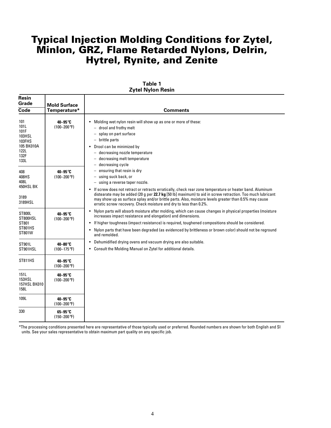| <b>Resin</b><br>Grade                                                         | <b>Mold Surface</b>         |                                                                                                                                                                                                                                                                                                                                                                                                                                                                                                                                                     |
|-------------------------------------------------------------------------------|-----------------------------|-----------------------------------------------------------------------------------------------------------------------------------------------------------------------------------------------------------------------------------------------------------------------------------------------------------------------------------------------------------------------------------------------------------------------------------------------------------------------------------------------------------------------------------------------------|
| Code                                                                          | Temperature*                | <b>Comments</b>                                                                                                                                                                                                                                                                                                                                                                                                                                                                                                                                     |
| 101<br>101L<br>101F<br>103HSL<br>103FHS<br>105 BK010A<br>122L<br>132F<br>133L | 40-95°C<br>$(100 - 200$ °F) | Molding wet nylon resin will show up as one or more of these:<br>- drool and frothy melt<br>splay on part surface<br>$\overline{\phantom{0}}$<br>$-$ brittle parts<br>• Drool can be minimized by<br>- decreasing nozzle temperature<br>decreasing melt temperature<br>$\overline{\phantom{0}}$<br>decreasing cycle<br>$\overline{\phantom{0}}$                                                                                                                                                                                                     |
| 408<br>408HS<br>408L<br>450HSL BK<br>3189<br>3189HSL                          | 40-95°C<br>$(100 - 200$ °F) | ensuring that resin is dry<br>$\overline{\phantom{0}}$<br>using suck back, or<br>$\overline{\phantom{0}}$<br>- using a reverse taper nozzle.<br>• If screw does not retract or retracts erratically, check rear zone temperature or heater band. Aluminum<br>distearate may be added (20 g per 22.7 kg [50 lb] maximum) to aid in screw retraction. Too much lubricant<br>may show up as surface splay and/or brittle parts. Also, moisture levels greater than 0.5% may cause<br>erratic screw recovery. Check moisture and dry to less than 0.2%. |
| <b>ST800L</b><br>ST800HSL<br>ST801<br><b>ST801HS</b><br>ST801W                | 40-95°C<br>$(100 - 200$ °F) | Nylon parts will absorb moisture after molding, which can cause changes in physical properties (moisture<br>$\bullet$<br>increases impact resistance and elongation) and dimensions.<br>If higher toughness (impact resistance) is required, toughened compositions should be considered.<br>$\bullet$<br>• Nylon parts that have been degraded (as evidenced by brittleness or brown color) should not be reground<br>and remolded.                                                                                                                |
| ST901L<br>ST901HSL                                                            | 40-80°C<br>$(100 - 175$ °F) | • Dehumidified drying ovens and vacuum drying are also suitable.<br>• Consult the Molding Manual on Zytel for additional details.                                                                                                                                                                                                                                                                                                                                                                                                                   |
| ST811HS                                                                       | 40-95°C<br>$(100 - 200$ °F) |                                                                                                                                                                                                                                                                                                                                                                                                                                                                                                                                                     |
| 151L<br>153HSL<br><b>157HSL BK010</b><br>158L                                 | 40-95°C<br>$(100 - 200$ °F) |                                                                                                                                                                                                                                                                                                                                                                                                                                                                                                                                                     |
| 109L                                                                          | 40-95°C<br>$(100 - 200$ °F) |                                                                                                                                                                                                                                                                                                                                                                                                                                                                                                                                                     |
| 330                                                                           | 65-95°C<br>$(150 - 200$ °F) |                                                                                                                                                                                                                                                                                                                                                                                                                                                                                                                                                     |

#### **Table 1 Zytel Nylon Resin**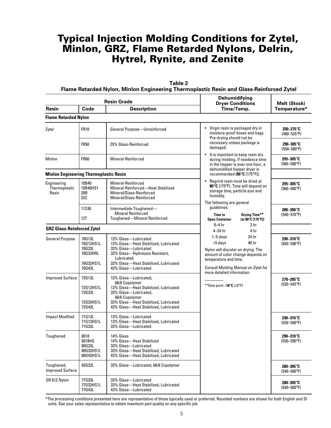|                                               | Flame Retarded Nylon, Minlon Engineering Thermoplastic Resin and Glass-Reinforced Zytel |                                                                                                                                                                                                               |                                                                                                                           |                               |  |  |  |
|-----------------------------------------------|-----------------------------------------------------------------------------------------|---------------------------------------------------------------------------------------------------------------------------------------------------------------------------------------------------------------|---------------------------------------------------------------------------------------------------------------------------|-------------------------------|--|--|--|
|                                               |                                                                                         | <b>Resin Grade</b>                                                                                                                                                                                            | Dehumidifying<br><b>Dryer Conditions</b>                                                                                  | <b>Melt (Stock)</b>           |  |  |  |
| <b>Resin</b>                                  | Code                                                                                    | <b>Description</b>                                                                                                                                                                                            | Time/Temp.                                                                                                                | Temperature*                  |  |  |  |
| <b>Flame Retarded Nylon</b>                   |                                                                                         |                                                                                                                                                                                                               |                                                                                                                           |                               |  |  |  |
| Zytel                                         | <b>FR10</b>                                                                             | General Purpose-Unreinforced                                                                                                                                                                                  | • Virgin resin is packaged dry in<br>moisture-proof boxes and bags.<br>Pre-drying should not be                           | 250-275°C<br>$(480 - 525$ °F) |  |  |  |
|                                               | <b>FR50</b>                                                                             | 25% Glass-Reinforced                                                                                                                                                                                          | necessary unless package is<br>damaged.                                                                                   | 290-305°C<br>$(550 - 580$ °F) |  |  |  |
| Minlon                                        | <b>FR60</b>                                                                             | Mineral-Reinforced                                                                                                                                                                                            | It is important to keep resin dry<br>during molding. If residence time<br>in the hopper is over one hour, a               | 295-305°C<br>$(560 - 580$ °F) |  |  |  |
| <b>Minlon Engineering Thermoplastic Resin</b> |                                                                                         |                                                                                                                                                                                                               | dehumidified hopper dryer is<br>recommended (80 $\degree$ C [175 $\degree$ F]).                                           |                               |  |  |  |
| Engineering<br>Thermoplastic<br>Resin         | 10B40<br>10B40HS1<br>20 B<br>22C                                                        | Mineral-Reinforced<br>Mineral-Reinforced-Heat Stabilized<br>Mineral/Glass-Reinforced<br>Mineral/Glass-Reinforced                                                                                              | 295-305°C<br>$(560 - 580$ °F)                                                                                             |                               |  |  |  |
|                                               | 11C40<br>12T                                                                            | Intermediate Toughened-<br><b>Mineral Reinforced</b><br>Toughened-Mineral Reinforced                                                                                                                          | The following are general<br>quidelines:<br>Drying Time**<br><b>Time in</b><br>(at 80°C [175°F])<br><b>Open Container</b> | 280-300°C<br>$(540 - 570$ °F) |  |  |  |
| <b>GRZ Glass-Reinforced Zytel</b>             |                                                                                         |                                                                                                                                                                                                               | $0 - 4$ hr<br>2 <sub>hr</sub><br>$4-24$ hr<br>4 hr                                                                        |                               |  |  |  |
| <b>General Purpose</b>                        | 70G13L<br>70G13HS1L<br>70G33L<br>70G33HRL<br>70G33HS1L<br>70G43L                        | 13% Glass-Lubricated<br>13% Glass-Heat Stabilized, Lubricated<br>33% Glass-Lubricated<br>33% Glass-Hydrolysis Resistant,<br>Lubricated<br>33% Glass-Heat Stabilized, Lubricated<br>43% Glass-Lubricated       | 290-310°C<br>$(550 - 590$ °F)                                                                                             |                               |  |  |  |
| <b>Improved Surface</b>                       | 72G13L<br>72G13HS1L<br>72G33L<br>72G33HS1L<br>72G43L                                    | 13% Glass-Lubricated,<br>66/6 Copolymer<br>13% Glass-Heat Stabilized, Lubricated<br>33% Glass-Lubricated,<br>66/6 Copolymer<br>33% Glass-Heat Stabilized, Lubricated<br>43% Glass-Heat Stabilized, Lubricated | more detailed information.<br>**Dew point $-18^{\circ}C$ (<0°F)                                                           | 270-285°C<br>$(520 - 545$ °F) |  |  |  |
| <b>Impact Modified</b>                        | 71G13L<br>71G13HS1L<br>71G33L                                                           | 13% Glass-Lubricated<br>13% Glass-Heat Stabilized, Lubricated<br>33% Glass—Lubricated                                                                                                                         |                                                                                                                           | 290-310°C<br>$(550 - 590$ °F) |  |  |  |
| Toughened                                     | 8018<br>8018HS<br>80G33L<br>80G33HS1L<br>80G43HS1L                                      | 14% Glass<br>14% Glass-Heat Stabilized<br>33% Glass-Lubricated<br>33% Glass-Heat Stabilized, Lubricated<br>43% Glass-Heat Stabilized, Lubricated                                                              |                                                                                                                           | 290-310°C<br>$(550 - 590$ °F) |  |  |  |
| Toughened,<br><b>Improved Surface</b>         | 82G33L                                                                                  | 33% Glass-Lubricated, 66/6 Copolymer                                                                                                                                                                          |                                                                                                                           | 280-305°C<br>$(540 - 580$ °F) |  |  |  |
| GR 612 Nylon                                  | 77G33L<br>77G33HS1L<br>77G43L                                                           | 33% Glass-Lubricated<br>33% Glass-Heat Stabilized, Lubricated<br>43% Glass-Lubricated                                                                                                                         |                                                                                                                           | 280-305°C<br>$(540 - 580$ °F) |  |  |  |

**Table 2**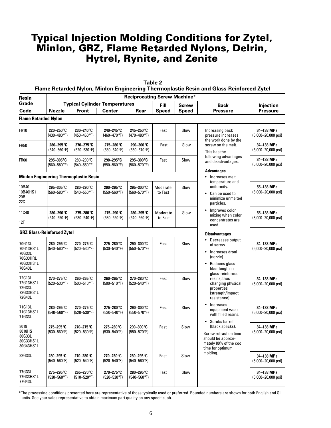| <b>Table 2</b><br>Flame Retarded Nylon, Minlon Engineering Thermoplastic Resin and Glass-Reinforced Zytel |                                   |                                               |                                      |                                     |                     |              |                                                                                                                                                                                                                                  |                                              |
|-----------------------------------------------------------------------------------------------------------|-----------------------------------|-----------------------------------------------|--------------------------------------|-------------------------------------|---------------------|--------------|----------------------------------------------------------------------------------------------------------------------------------------------------------------------------------------------------------------------------------|----------------------------------------------|
| Resin                                                                                                     |                                   |                                               |                                      | <b>Reciprocating Screw Machine*</b> |                     |              |                                                                                                                                                                                                                                  |                                              |
| Grade                                                                                                     |                                   |                                               | <b>Typical Cylinder Temperatures</b> |                                     | <b>Fill</b>         | <b>Screw</b> | <b>Back</b>                                                                                                                                                                                                                      | Injection                                    |
| Code                                                                                                      | <b>Nozzle</b>                     | Front                                         | <b>Center</b>                        | Rear                                | <b>Speed</b>        | <b>Speed</b> | <b>Pressure</b>                                                                                                                                                                                                                  | <b>Pressure</b>                              |
| <b>Flame Retarded Nylon</b>                                                                               |                                   |                                               |                                      |                                     |                     |              |                                                                                                                                                                                                                                  |                                              |
| <b>FR10</b>                                                                                               | 220-250°C<br>$(430 - 480$ °F)     | 230-240°C<br>$(450 - 460$ °F)                 | 240-245°C<br>$(460 - 470$ °F)        | 245-250°C<br>$(470 - 480$ °F)       | Fast                | Slow         | Increasing back<br>pressure increases<br>the work done by the                                                                                                                                                                    | 34-138 MPa<br>$(5,000 - 20,000 \text{ psi})$ |
| <b>FR50</b>                                                                                               | 280-295°C<br>$(540 - 560$ °F)     | 270-275°C<br>$(520 - 530$ °F)                 | 275-280°C<br>$(530 - 540$ °F)        | 290-300°C<br>$(550 - 570$ °F)       | Fast                | Slow         | screw on the melt.<br>This has the                                                                                                                                                                                               | 34-138 MPa<br>$(5,000 - 20,000 \text{ psi})$ |
| <b>FR60</b>                                                                                               | 295-305°C<br>(560–580°F)          | 280-290°C<br>$(540 - 550$ °F)                 | 290-295°C<br>$(550 - 560$ °F)        | 295-300°C<br>$(560 - 570$ °F)       | Fast                | Slow         | following advantages<br>and disadvantages:                                                                                                                                                                                       | 34-138 MPa<br>$(5,000 - 20,000 \text{ psi})$ |
|                                                                                                           |                                   | <b>Minlon Engineering Thermoplastic Resin</b> |                                      |                                     |                     |              | <b>Advantages</b><br>• Increases melt                                                                                                                                                                                            |                                              |
|                                                                                                           |                                   |                                               |                                      |                                     |                     |              | temperature and                                                                                                                                                                                                                  |                                              |
| 10B40<br>10B40HS1<br>20B<br>22C                                                                           | 295-305°C<br>$(560 - 580$ °F)     | 280-290°C<br>$(540 - 550$ °F)                 | 290-295°C<br>$(550 - 560$ °F)        | 295-300°C<br>$(560 - 570$ °F)       | Moderate<br>to Fast | Slow         | uniformity.<br>• Can be used to<br>minimize unmelted<br>particles.                                                                                                                                                               | 55-138 MPa<br>(8,000-20,000 psi)             |
| 11C40<br>12T                                                                                              | 280-290°C<br>$(540 - 550$ °F)     | 275-280°C<br>$(530 - 540$ °F)                 | 275-290°C<br>$(530 - 550$ °F)        | 280-295°C<br>$(540 - 560$ °F)       | Moderate<br>to Fast | Slow         | Improves color<br>$\bullet$<br>mixing when color<br>concentrates are<br>used.                                                                                                                                                    | 55-138 MPa<br>$(8,000 - 20,000 \text{ psi})$ |
|                                                                                                           | <b>GRZ Glass-Reinforced Zytel</b> |                                               |                                      |                                     |                     |              | <b>Disadvantages</b>                                                                                                                                                                                                             |                                              |
| 70G13L<br>70G13HS1L<br>70G33L<br>70G33HRL<br>70G33HS1L<br>70G43L                                          | 280-295°C<br>(540–560°F)          | 270-275°C<br>$(520 - 530$ °F)                 | 275-280°C<br>$(530 - 540$ °F)        | 290-300°C<br>$(550 - 570$ °F)       | Fast                | Slow         | • Decreases output<br>of screw.<br>Increases drool<br>$\bullet$<br>(nozzle).<br>Reduces glass<br>٠<br>fiber length in<br>glass-reinforced<br>resins, thus<br>changing physical<br>properties<br>(strength/impact<br>resistance). | 34-138 MPa<br>$(5,000 - 20,000 \text{ psi})$ |
| 72G13L<br>72G13HS1L<br>72G33L<br>72G33HS1L<br>72G43L                                                      | 270-275°C<br>$(520 - 530$ °F)     | 260-265°C<br>$(500 - 510$ °F)                 | 260-265°C<br>$(500 - 510$ °F)        | 270-280°C<br>$(520 - 540$ °F)       | Fast                | Slow         |                                                                                                                                                                                                                                  | 34-138 MPa<br>$(5,000-20,000 \text{ psi})$   |
| 71G13L<br>71G13HS1L<br>71G33L                                                                             | 280-295°C<br>$(540 - 560$ °F)     | 270-275°C<br>$(520 - 530$ °F)                 | 275-280°C<br>$(530 - 540$ °F)        | 290-300°C<br>$(550 - 570$ °F)       | Fast                | Slow         | Increases<br>$\bullet$<br>equipment wear<br>with filled resins.                                                                                                                                                                  | 34-138 MPa<br>$(5,000-20,000 \text{ psi})$   |
| 8018<br>8018HS<br>80G33L<br>80G33HS1L<br>80G43HS1L                                                        | 275-295°C<br>$(530 - 560$ °F)     | 270-275°C<br>$(520 - 530$ °F)                 | 275-280°C<br>$(530 - 540$ °F)        | 290-300°C<br>$(550 - 570$ °F)       | Fast                | Slow         | Scrubs barrel<br>(black specks).<br>Screw retraction time<br>should be approxi-<br>mately 80% of the cool<br>time for optimum                                                                                                    | 34-138 MPa<br>$(5,000 - 20,000 \text{ psi})$ |
| 82G33L                                                                                                    | 280-295°C<br>$(540 - 560$ °F)     | 270-280°C<br>$(520 - 540$ °F)                 | 270-280°C<br>$(520 - 540$ °F)        | 280-295°C<br>$(540 - 560$ °F)       | Fast                | Slow         | molding.                                                                                                                                                                                                                         | 34-138 MPa<br>$(5,000 - 20,000 \text{ psi})$ |
| 77G33L<br>77G33HS1L<br>77G43L                                                                             | 275-295°C<br>$(530 - 560$ °F)     | 265-270°C<br>$(510 - 520$ °F)                 | 270-275°C<br>$(520 - 530$ °F)        | 280–295°C<br>$(540 - 560$ °F)       | Fast                | Slow         |                                                                                                                                                                                                                                  | 34-138 MPa<br>$(5,000 - 20,000 \text{ psi})$ |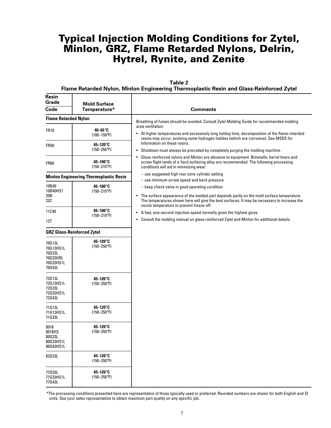| Table 2                                                                                 |
|-----------------------------------------------------------------------------------------|
| Flame Retarded Nylon, Minlon Engineering Thermoplastic Resin and Glass-Reinforced Zytel |

| <b>Resin</b><br>Grade<br>Code                                    | <b>Mold Surface</b><br>Temperature*           | <b>Comments</b>                                                                                                                                                                                                                                                                                       |
|------------------------------------------------------------------|-----------------------------------------------|-------------------------------------------------------------------------------------------------------------------------------------------------------------------------------------------------------------------------------------------------------------------------------------------------------|
| <b>Flame Retarded Nylon</b>                                      |                                               |                                                                                                                                                                                                                                                                                                       |
| <b>FR10</b>                                                      | 40-65°C<br>$(100-150^{\circ}F)$               | Breathing of fumes should be avoided. Consult Zytel Molding Guide for recommended molding<br>area ventilation.<br>• At higher temperatures and excessively long holdup time, decomposition of the flame-retarded                                                                                      |
| <b>FR50</b>                                                      | $65-120^\circ$ C<br>$(150 - 250$ °F)          | resins may occur, evolving some hydrogen halides (which are corrosive). See MSDS for<br>information on these resins.<br>Shutdown must always be preceded by completely purging the molding machine.<br>$\bullet$                                                                                      |
| <b>FR60</b>                                                      | $65-100^\circ$ C<br>$(150 - 210$ °F)          | Glass-reinforced nylons and Minlon are abrasive to equipment. Bimetallic barrel liners and<br>$\bullet$<br>screw flight lands of a hard surfacing alloy are recommended. The following processing<br>conditions will aid in minimizing wear:                                                          |
|                                                                  | <b>Minlon Engineering Thermoplastic Resin</b> | - use suggested high rear zone cylinder setting<br>- use minimum screw speed and back pressure                                                                                                                                                                                                        |
| 10B40<br>10B40HS1<br>20B<br>22C                                  | 65-100°C<br>$(150 - 210$ °F)                  | - keep check valve in good operating condition<br>The surface appearance of the molded part depends partly on the mold surface temperature.<br>$\bullet$<br>The temperatures shown here will give the best surfaces. It may be necessary to increase the<br>nozzle temperature to prevent freeze-off. |
| 11C40                                                            | 65-100°C<br>$(150 - 210$ °F)                  | A fast, one-second injection speed normally gives the highest gloss.<br>$\bullet$                                                                                                                                                                                                                     |
| 12T                                                              |                                               | Consult the molding manual on glass-reinforced Zytel and Minlon for additional details.<br>$\bullet$                                                                                                                                                                                                  |
|                                                                  | <b>GRZ Glass-Reinforced Zytel</b>             |                                                                                                                                                                                                                                                                                                       |
| 70G13L<br>70G13HS1L<br>70G33L<br>70G33HRL<br>70G33HS1L<br>70G43L | $65-120^\circ$ C<br>$(150 - 250$ °F)          |                                                                                                                                                                                                                                                                                                       |
| 72G13L<br>72G13HS1L<br>72G33L<br>72G33HS1L<br>72G43L             | $65-120^\circ$ C<br>$(150 - 250$ °F)          |                                                                                                                                                                                                                                                                                                       |
| 71G13L<br>71G13HS1L<br>71G33L                                    | $65-120^\circ$ C<br>$(150 - 250$ °F)          |                                                                                                                                                                                                                                                                                                       |
| 8018<br>8018HS<br>80G33L<br>80G33HS1L<br>80G43HS1L               | $65-120^\circ$ C<br>$(150 - 250$ °F)          |                                                                                                                                                                                                                                                                                                       |
| 82G33L                                                           | $65-120^\circ$ C<br>$(150 - 250$ °F)          |                                                                                                                                                                                                                                                                                                       |
| 77G33L<br>77G33HS1L                                              | $65-120^\circ$ C<br>$(150 - 250$ °F)          |                                                                                                                                                                                                                                                                                                       |

\*The processing conditions presented here are representative of those typically used or preferred. Rounded numbers are shown for both English and SI units. See your sales representative to obtain maximum part quality on any specific job.

77G43L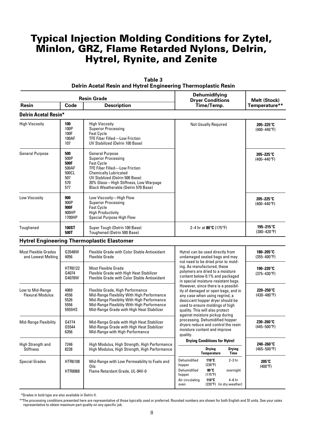|                                            |                                                            | <b>Resin Grade</b>                                                                                                                                                                                                                                                  | <b>Dehumidifying</b><br><b>Dryer Conditions</b> | Melt (Stock)                                     |
|--------------------------------------------|------------------------------------------------------------|---------------------------------------------------------------------------------------------------------------------------------------------------------------------------------------------------------------------------------------------------------------------|-------------------------------------------------|--------------------------------------------------|
| <b>Resin</b><br>Code<br><b>Description</b> |                                                            |                                                                                                                                                                                                                                                                     | Time/Temp.                                      | Temperature**                                    |
| <b>Delrin Acetal Resin*</b>                |                                                            |                                                                                                                                                                                                                                                                     |                                                 |                                                  |
| <b>High Viscosity</b>                      | 100<br>100P<br>100F<br>100AF<br>107                        | <b>High Viscosity</b><br><b>Superior Processing</b><br><b>Fast Cycle</b><br><b>TFE Fiber Filled-Low Friction</b><br>UV Stabilized (Delrin 100 Base)                                                                                                                 | <b>Not Usually Required</b>                     | 205-225°C<br>$(400 - 440$ °F)                    |
| <b>General Purpose</b>                     | 500<br>500P<br>500F<br>500AF<br>500CL<br>507<br>570<br>577 | <b>General Purpose</b><br><b>Superior Processing</b><br><b>Fast Cycle</b><br><b>TFE Fiber Filled-Low Friction</b><br><b>Chemically Lubricated</b><br>UV Stablized (Delrin 500 Base)<br>20% Glass-High Stiffness, Low Warpage<br>Black Weatherable (Delrin 570 Base) |                                                 | 205-225 $\mathrm{^{\circ}C}$<br>$(400 - 440$ °F) |
| Low Viscositv                              | 900<br>900P<br>900F<br>900HP<br>1700HP                     | Low Viscosity-High Flow<br><b>Superior Processing</b><br><b>Fast Cycle</b><br><b>High Productivity</b><br>Special Purpose High Flow                                                                                                                                 |                                                 | 205-225 $\mathrm{^{\circ}C}$<br>$(400 - 440$ °F) |
| Toughened                                  | <b>100ST</b><br>500T                                       | Super Tough (Delrin 100 Base)<br>Toughened (Delrin 500 Base)                                                                                                                                                                                                        | 2–4 hr at 80°C (175°F)                          | 195-215°C<br>$(380 - 420$ °F)                    |

#### **Table 3 Delrin Acetal Resin and Hytrel Engineering Thermoplastic Resin**

**Hytrel Engineering Thermoplastic Elastomer**

| Most Flexible Grades<br>and Lowest Melting  | G3548W<br>4056                                        | Flexible Grade with Color Stable Antioxidant<br><b>Flexible Grade</b>                                                                                                                                                   | Hytrel can be used directly from<br>undamaged sealed bags and may                                                                                                                                                      | 180-205°C<br>$(355 - 400)$ F) |
|---------------------------------------------|-------------------------------------------------------|-------------------------------------------------------------------------------------------------------------------------------------------------------------------------------------------------------------------------|------------------------------------------------------------------------------------------------------------------------------------------------------------------------------------------------------------------------|-------------------------------|
|                                             | <b>HTR8122</b><br>G4074<br>G4078W                     | Most Flexible Grade<br>Flexible Grade with High Heat Stabilizer<br>Flexible Grade with Color Stable Antioxidant                                                                                                         | not need to be dried prior to mold-<br>ing. As manufactured, these<br>polymers are dried to a moisture<br>content below 0.1% and packaged<br>in special moisture-resistant bags.                                       | 190–220°C<br>$(375 - 430$ °F) |
| Low to Mid-Range<br><b>Flexural Modulus</b> | 4069<br>4556<br>5526<br>5556<br>5555HS                | Flexible Grade, High Performance<br>Mid-Range Flexiblity With High Performance<br>Mid-Range Flexiblity With High Performance<br>Mid-Range Flexiblity With High Performance<br>Mid-Range Grade with High Heat Stabilizer | However, since there is a possibil-<br>ity of damaged or open bags, and in<br>any case when using regrind, a<br>desiccant hopper dryer should be<br>used to ensure moldings of high<br>quality. This will also protect | 220-250°C<br>$(430 - 480$ °F) |
| Mid-Range Flexibility                       | G4774<br>G5544<br>6356                                | Mid-Range Grade with High Heat Stabilizer<br>Mid-Range Grade with High Heat Stabilizer<br>Mid-Range with High Performance                                                                                               | against moisture pickup during<br>processing. Dehumidified hopper<br>dryers reduce and control the resin<br>moisture content and improve<br>quality.                                                                   | 230-260°C<br>$(445 - 500$ °F) |
| High Strength and                           | 7246                                                  | High Modulus, High Strength, High Performance                                                                                                                                                                           | <b>Drying Conditions for Hytrel</b>                                                                                                                                                                                    | 240-260°C                     |
| <b>Stiffness</b>                            | 8238<br>High Modulus, High Strength, High Performance |                                                                                                                                                                                                                         | <b>Drying</b><br><b>Drying</b><br><b>Temperature</b><br>Time                                                                                                                                                           | $(465 - 500$ °F)              |
| <b>Special Grades</b>                       | HTR6108<br><b>HTR8068</b>                             | Mid-Range with Low Permeability to Fuels and<br>Oils<br>Flame Retardant Grade, UL-94V-0                                                                                                                                 | Dehumidified<br>$2-3$ hr<br>110°C<br>$(230^{\circ}F)$<br>hopper<br>80°C<br>Dehumidified<br>overnight<br>(175°F)<br>hopper<br>110°C<br>$4-6$ hr<br>Air circulating<br>$(230^{\circ}F)$<br>(in dry weather)<br>oven      | 205°C<br>$(400^{\circ}F)$     |

\*\*Grades in bold type are also available in Delrin II.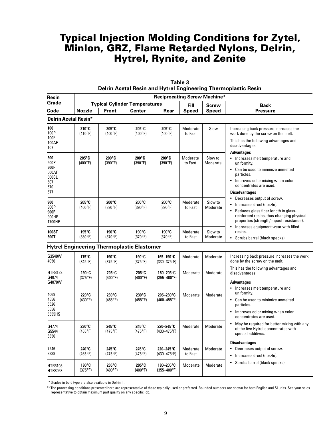| Resin                                                      |                           |                                   |                                                   | <b>Reciprocating Screw Machine*</b> |                     |                     | Accumentation and the contractional incompleted the                                                                                                                                                            |  |  |
|------------------------------------------------------------|---------------------------|-----------------------------------|---------------------------------------------------|-------------------------------------|---------------------|---------------------|----------------------------------------------------------------------------------------------------------------------------------------------------------------------------------------------------------------|--|--|
| Grade                                                      |                           |                                   | <b>Typical Cylinder Temperatures</b>              |                                     | <b>Fill</b>         | <b>Screw</b>        | <b>Back</b>                                                                                                                                                                                                    |  |  |
| Code                                                       | <b>Nozzle</b>             | <b>Front</b>                      | <b>Center</b>                                     | Rear                                | <b>Speed</b>        | <b>Speed</b>        | <b>Pressure</b>                                                                                                                                                                                                |  |  |
| <b>Delrin Acetal Resin*</b>                                |                           |                                   |                                                   |                                     |                     |                     |                                                                                                                                                                                                                |  |  |
| 100<br>100P<br>100F<br>100AF<br>107                        | 210°C<br>$(410^{\circ}F)$ | 205°C<br>$(400^{\circ}F)$         | 205°C<br>$(400^{\circ}F)$                         | 205°C<br>$(400^{\circ}F)$           | Moderate<br>to Fast | Slow                | Increasing back pressure increases the<br>work done by the screw on the melt.<br>This has the following advantages and<br>disadvantages:                                                                       |  |  |
| 500<br>500P<br>500F<br>500AF<br>500CL<br>507<br>570<br>577 | 205°C<br>$(400^{\circ}F)$ | $200^\circ C$<br>(390°F)          | $200^\circ C$<br>(390°F)                          | 200°C<br>(390°F)                    | Moderate<br>to Fast | Slow to<br>Moderate | <b>Advantages</b><br>• Increases melt temperature and<br>uniformity.<br>• Can be used to minimize unmelted<br>particles.<br>Improves color mixing when color<br>concentrates are used.<br><b>Disadvantages</b> |  |  |
| 900<br>900P<br>900F<br>900HP<br>1700HP                     | 205°C<br>$(400^{\circ}F)$ | 200°C<br>(390°F)                  | 200°C<br>(390°F)                                  | 200°C<br>(390°F)                    | Moderate<br>to Fast | Slow to<br>Moderate | Decreases output of screw.<br>$\bullet$<br>Increases drool (nozzle).<br>Reduces glass fiber length in glass-<br>reinforced resins, thus changing physical<br>properties (strength/impact resistance).          |  |  |
| 100ST<br>500T                                              | 195°C<br>$(380^{\circ}F)$ | 190°C<br>(370°F)                  | 190°C<br>(370°F)                                  | 190°C<br>(370°F)                    | Moderate<br>to Fast | Slow to<br>Moderate | Increases equipment wear with filled<br>$\bullet$<br>resins.<br>Scrubs barrel (black specks).<br>$\bullet$                                                                                                     |  |  |
|                                                            |                           |                                   | <b>Hytrel Engineering Thermoplastic Elastomer</b> |                                     |                     |                     |                                                                                                                                                                                                                |  |  |
| G3548W<br>4056                                             | 175°C<br>$(345^{\circ}F)$ | 190°C<br>$(375^{\circ}F)$         | 190°C<br>$(375^{\circ}F)$                         | 165-190°C<br>$(330 - 375)$ °F)      | Moderate            | Moderate            | Increasing back pressure increases the work<br>done by the screw on the melt.                                                                                                                                  |  |  |
| <b>HTR8122</b><br>G4074<br>G4078W                          | 190°C<br>$(375^{\circ}F)$ | $205^\circ$ C<br>$(400^{\circ}F)$ | 205°C<br>$(400^{\circ}F)$                         | 180-205°C<br>$(355 - 400$ °F)       | Moderate            | Moderate            | This has the following advantages and<br>disadvantages:<br><b>Advantages</b>                                                                                                                                   |  |  |
| 4069<br>4556<br>5526<br>5556<br>5555HS                     | 220°C<br>$(430^{\circ}F)$ | $230^\circ$ C<br>$(455^{\circ}F)$ | 230°C<br>$(455^{\circ}F)$                         | 205-230°C<br>$(400 - 455^{\circ}F)$ | Moderate            | Moderate            | Increases melt temperature and<br>uniformity.<br>• Can be used to minimize unmelted<br>particles.<br>Improves color mixing when color<br>concentrates are used.                                                |  |  |
| G4774<br>G5544<br>6356                                     | 230°C<br>$(455^{\circ}F)$ | 245°C<br>(475°F)                  | 245°C<br>(475°F)                                  | 220-245°C<br>$(430 - 475$ °F)       | Moderate            | Moderate            | May be required for better mixing with any<br>of the five Hytrel concentrates with<br>special additives.                                                                                                       |  |  |
| 7246<br>8238                                               | 240°C<br>$(465^{\circ}F)$ | 245°C<br>$(475^{\circ}F)$         | 245°C<br>$(475^{\circ}F)$                         | 220-245°C<br>$(430 - 475$ °F)       | Moderate<br>to Fast | Moderate            | <b>Disadvantages</b><br>Decreases output of screw.<br>$\bullet$<br>Increases drool (nozzle).<br>$\bullet$                                                                                                      |  |  |
| HTR6108<br>HTR8068                                         | 190°C<br>$(375^{\circ}F)$ | 205°C<br>$(400^{\circ}F)$         | 205°C<br>$(400^{\circ}F)$                         | 180-205°C<br>$(355 - 400^{\circ}F)$ | Moderate            | Moderate            | Scrubs barrel (black specks).<br>$\bullet$                                                                                                                                                                     |  |  |

| Table 3                                                        |
|----------------------------------------------------------------|
| Delrin Acetal Resin and Hytrel Engineering Thermoplastic Resin |

\*\*Grades in bold type are also available in Delrin II.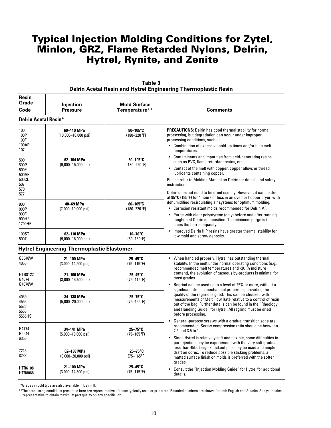| Resin<br>Grade<br>Code                                     | Injection<br><b>Pressure</b>                                                      | <b>Mold Surface</b><br>Temperature**       | <b>Comments</b>                                                                                                                                                                                                                                                                                                                                                             |
|------------------------------------------------------------|-----------------------------------------------------------------------------------|--------------------------------------------|-----------------------------------------------------------------------------------------------------------------------------------------------------------------------------------------------------------------------------------------------------------------------------------------------------------------------------------------------------------------------------|
| <b>Delrin Acetal Resin*</b>                                |                                                                                   |                                            |                                                                                                                                                                                                                                                                                                                                                                             |
| 100<br>100P<br>100F<br>100AF<br>107                        | 69-110 MPa<br>$(10,000 - 16,000 \text{ psi})$                                     | 80-105°C<br>$(180 - 220$ °F)               | <b>PRECAUTIONS:</b> Delrin has good thermal stability for normal<br>processing, but degradation can occur under improper<br>processing conditions, such as:<br>• Combination of excessive hold-up times and/or high melt<br>temperatures.                                                                                                                                   |
| 500<br>500P<br>500F<br>500AF<br>500CL<br>507<br>570<br>577 | 62-104 MPa<br>$80 - 105$ °C<br>$(180 - 220$ °F)<br>$(9,000 - 15,000 \text{ psi})$ |                                            | • Contaminants and impurities from acid-generating resins<br>such as PVC, flame retardant resins, etc.<br>• Contact of the melt with copper, copper alloys or thread<br>lubricants containing copper.<br>Please refer to Molding Manual on Delrin for details and safety<br>instructions.<br>Delrin does not need to be dried usually. However, it can be dried             |
| 900<br>900P<br>900F<br>900HP<br>1700HP                     | 48-69 MPa<br>$(7,000-10,000 \text{ psi})$                                         | $80 - 105$ °C<br>$(180 - 220$ °F)          | at 85 $\degree$ C (185 $\degree$ F) for 4 hours or less in an oven or hopper dryer, with<br>dehumidified recirculating air systems for optimum molding.<br>• Corrosion resistant molds recommended for Delrin AF.<br>• Purge with clear polystyrene (only) before and after running<br>toughened Delrin composition. The minimum purge is ten<br>times the barrel capacity. |
| 100ST<br>500T                                              | 62-110 MPa<br>$(9,000 - 16,000 \text{ psi})$                                      | $10 - 70^\circ C$<br>$(50-160^{\circ}F)$   | Improved Delrin II P resins have greater thermal stability for<br>$\bullet$<br>low mold and screw deposits.                                                                                                                                                                                                                                                                 |
|                                                            | <b>Hytrel Engineering Thermoplastic Elastomer</b>                                 |                                            |                                                                                                                                                                                                                                                                                                                                                                             |
| G3548W<br>4056                                             | 21-100 MPa<br>$(3,000-14,500 \text{ psi})$                                        | $25 - 45^\circ$ C<br>$(75-115^{\circ}F)$   | • When handled properly, Hytrel has outstanding thermal<br>stability. In the melt under normal operating conditions (e.g.,<br>recommended melt temperatures and <0.1% moisture                                                                                                                                                                                              |
| HTR8122<br>G4074<br>G4078W                                 | 21-100 MPa<br>$(3,000-14,500 \text{ psi})$                                        | 25-45°C<br>$(75 - 115$ °F)                 | content), the evolution of gaseous by-products is minimal for<br>most grades.<br>Regrind can be used up to a level of 25% or more, without a<br>$\bullet$                                                                                                                                                                                                                   |
| 4069<br>4556<br>5526<br>5556<br>5555HS                     | 34-138 MPa<br>$(5,000 - 20,000 \text{ psi})$                                      | 25-75°C<br>$(75 - 165^{\circ}F)$           | significant drop in mechanical properties, providing the<br>quality of the regrind is good. This can be checked with<br>measurements of Melt Flow Rate relative to a control of resin<br>out of the bag. Further details can be found in the "Rheology<br>and Handling Guide" for Hytrel. All regrind must be dried<br>before processing.                                   |
| G4774<br>G5544<br>6356                                     | 34-141 MPa<br>$(5,000-19,000 \text{ psi})$                                        | $25 - 75^\circ$ C<br>$(75 - 165^{\circ}F)$ | General-purpose screws with a gradual transition zone are<br>$\bullet$<br>recommended. Screw compression ratio should be between<br>2.5 and 3.5 to 1.<br>• Since Hytrel is relatively soft and flexible, some difficulties in                                                                                                                                               |
|                                                            |                                                                                   |                                            | part ejection may be experienced with the very soft grades                                                                                                                                                                                                                                                                                                                  |

| Table 3                                                        |  |
|----------------------------------------------------------------|--|
| Delrin Acetal Resin and Hytrel Engineering Thermoplastic Resin |  |

\*\*Grades in bold type are also available in Delrin II.

(9,000–20,000 psi)

**21–100 MPa 25–45**°**C** (3,000–14,500 psi) (75–115°F)

**62–138 MPa** 25–75°**C**<br>
(000–20,000 psi) 25–165°F)

7246 8238

HTR6108 HTR8068

\*\*The processing conditions presented here are representative of those typically used or preferred. Rounded numbers are shown for both English and SI units. See your sales representative to obtain maximum part quality on any specific job.

grades.

details.

less than 45D. Large knockout pins may be used and ample draft on cores. To reduce possible sticking problems, a matted surface finish on molds is preferred with the softer

• Consult the "Injection Molding Guide" for Hytrel for additional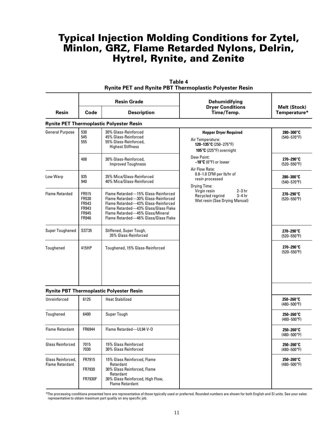| <b>Resin</b>                                | <b>Resin Grade</b><br><b>Description</b><br>Code                        |                                                                                                                                                                                                                                       | Dehumidifying<br><b>Dryer Conditions</b><br>Time/Temp.                                                                      | Melt (Stock)<br>Temperature*            |  |
|---------------------------------------------|-------------------------------------------------------------------------|---------------------------------------------------------------------------------------------------------------------------------------------------------------------------------------------------------------------------------------|-----------------------------------------------------------------------------------------------------------------------------|-----------------------------------------|--|
|                                             |                                                                         | <b>Rynite PET Thermoplastic Polyester Resin</b>                                                                                                                                                                                       |                                                                                                                             |                                         |  |
| <b>General Purpose</b>                      | 530<br>545<br>555                                                       | 30% Glass-Reinforced<br>45% Glass-Reinforced<br>55% Glass-Reinforced,<br><b>Highest Stiffness</b>                                                                                                                                     | <b>Hopper Dryer Required</b><br>Air Temperature:<br>120-135°C (250-275°F)<br>105 $\mathrm{C}$ (225 $\mathrm{P}$ ) overnight | 280-300°C<br>$(540 - 570$ °F)           |  |
|                                             | 408                                                                     | 30% Glass-Reinforced,<br><b>Improved Toughness</b>                                                                                                                                                                                    | Dew Point:<br>$-18^{\circ}C$ (0°F) or lower                                                                                 | $270 - 290^\circ C$<br>$(520 - 550$ °F) |  |
| Low Warp                                    | 935<br>35% Mica/Glass-Reinforced<br>940<br>40% Mica/Glass-Reinforced    |                                                                                                                                                                                                                                       | Air Flow Rate:<br>0.8-1.0 CFM per lb/hr of<br>resin processed<br>Drying Time:                                               | 280-300°C<br>$(540 - 570$ °F)           |  |
| <b>Flame Retarded</b>                       | FR515<br><b>FR530</b><br>FR543<br>FR943<br><b>FR945</b><br><b>FR946</b> | Flame Retarded-15% Glass-Reinforced<br>Flame Retarded-30% Glass-Reinforced<br>Flame Retarded-43% Glass-Reinforced<br>Flame Retarded-43% Glass/Glass Flake<br>Flame Retarded-45% Glass/Mineral<br>Flame Retarded-46% Glass/Glass Flake | Virgin resin<br>$2 - 3$ hr<br>Recycled regrind<br>$3-4$ hr<br>Wet resin (See Drying Manual)                                 | 270-290°C<br>$(520 - 550$ °F)           |  |
| <b>Super Toughened</b>                      | SST35                                                                   | Stiffened, Super Tough,<br>35% Glass-Reinforced                                                                                                                                                                                       |                                                                                                                             | 270-290°C<br>$(520 - 550$ °F)           |  |
| Toughened                                   | 415HP                                                                   | Toughened, 15% Glass-Reinforced                                                                                                                                                                                                       |                                                                                                                             | 270-290°C<br>$(520 - 550$ °F)           |  |
|                                             |                                                                         | <b>Rynite PBT Thermoplastic Polyester Resin</b>                                                                                                                                                                                       |                                                                                                                             |                                         |  |
| Unreinforced                                | 6125                                                                    | <b>Heat Stabilized</b>                                                                                                                                                                                                                |                                                                                                                             | 250-260°C<br>$(480 - 500$ °F)           |  |
| Toughened                                   | 6400                                                                    | Super Tough                                                                                                                                                                                                                           |                                                                                                                             | 250-260°C<br>$(480 - 500$ °F)           |  |
| <b>Flame Retardant</b>                      | FR6944                                                                  | Flame Retarded-UL94 V-0                                                                                                                                                                                                               |                                                                                                                             | 250-260°C<br>$(480 - 500$ °F)           |  |
| <b>Glass Reinforced</b>                     | 7015<br>7030                                                            | 15% Glass Reinforced<br>30% Glass Reinforced                                                                                                                                                                                          |                                                                                                                             | 250-260°C<br>$(480 - 500$ °F)           |  |
| Glass Reinforced,<br><b>Flame Retardant</b> | FR7915<br>FR7930<br><b>FR7930F</b>                                      | 15% Glass Reinforced, Flame<br>Retardant<br>30% Glass Reinforced, Flame<br>Retardant<br>30% Glass Reinforced, High Flow,<br><b>Flame Retardant</b>                                                                                    |                                                                                                                             | $250 - 260^\circ$ C<br>$(480 - 500$ °F) |  |

**Table 4 Rynite PET and Rynite PBT Thermoplastic Polyester Resin**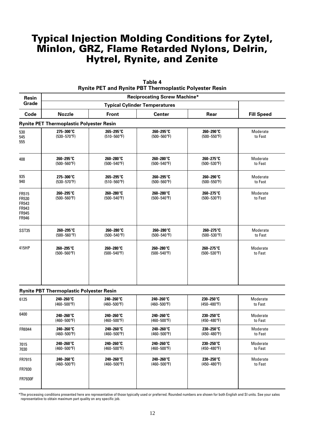| Resin                                              |                                                 |                                      |                               |                               |                     |  |  |  |
|----------------------------------------------------|-------------------------------------------------|--------------------------------------|-------------------------------|-------------------------------|---------------------|--|--|--|
| Grade                                              |                                                 | <b>Typical Cylinder Temperatures</b> |                               |                               |                     |  |  |  |
| Code                                               | <b>Nozzle</b>                                   | <b>Front</b>                         | <b>Center</b>                 | Rear                          | <b>Fill Speed</b>   |  |  |  |
|                                                    | <b>Rynite PET Thermoplastic Polyester Resin</b> |                                      |                               |                               |                     |  |  |  |
| 530<br>545<br>555                                  | 275-300°C<br>$(530 - 570$ °F)                   | 265-295°C<br>$(510 - 560$ °F)        | 260-295°C<br>$(500 - 560$ °F) | 260-290°C<br>$(500 - 550$ °F) | Moderate<br>to Fast |  |  |  |
| 408                                                | 260-295°C                                       | 260-280°C                            | 260-280°C                     | 260-275°C                     | Moderate            |  |  |  |
|                                                    | $(500 - 560$ °F)                                | $(500 - 540$ °F)                     | $(500 - 540$ °F)              | $(500 - 530$ °F)              | to Fast             |  |  |  |
| 935                                                | $275 - 300^{\circ}C$                            | 265-295°C                            | 260-295°C                     | 260-290°C                     | Moderate            |  |  |  |
| 940                                                | $(530 - 570$ °F)                                | $(510 - 560$ °F)                     | $(500 - 560$ °F)              | $(500 - 550$ °F)              | to Fast             |  |  |  |
| FR515<br>FR530<br>FR543<br>FR943<br>FR945<br>FR946 | 260-295°C<br>$(500 - 560$ °F)                   | 260-280°C<br>$(500 - 540$ °F)        | 260-280°C<br>$(500 - 540$ °F) | 260-275°C<br>$(500 - 530$ °F) | Moderate<br>to Fast |  |  |  |
| SST35                                              | 260-295°C                                       | 260-280°C                            | 260-280°C                     | 260-275°C                     | Moderate            |  |  |  |
|                                                    | $(500 - 560$ °F)                                | $(500 - 540$ °F)                     | $(500 - 540$ °F)              | $(500 - 530$ °F)              | to Fast             |  |  |  |
| 415HP                                              | 260-295°C                                       | 260-280°C                            | 260-280°C                     | 260–275°C                     | Moderate            |  |  |  |
|                                                    | $(500 - 560$ °F)                                | $(500 - 540$ °F)                     | $(500 - 540$ °F)              | $(500 - 530$ °F)              | to Fast             |  |  |  |
|                                                    | <b>Rynite PBT Thermoplastic Polyester Resin</b> |                                      |                               |                               |                     |  |  |  |
| 6125                                               | 240-260°C                                       | 240-260°C                            | 240-260°C                     | 230-250°C                     | Moderate            |  |  |  |
|                                                    | $(460 - 500$ °F)                                | $(460 - 500$ °F)                     | $(460 - 500$ °F)              | $(450 - 480$ °F)              | to Fast             |  |  |  |
| 6400                                               | 240–260°C                                       | 240-260°C                            | 240-260°C                     | 230-250°C                     | Moderate            |  |  |  |
|                                                    | $(460 - 500$ °F)                                | $(460 - 500$ °F)                     | $(460 - 500$ °F)              | $(450 - 480$ °F)              | to Fast             |  |  |  |
| FR6944                                             | 240-260°C                                       | 240-260°C                            | 240-260°C                     | 230-250°C                     | Moderate            |  |  |  |
|                                                    | $(460 - 500$ °F)                                | $(460 - 500$ °F)                     | $(460 - 500$ °F)              | $(450 - 480$ °F)              | to Fast             |  |  |  |
| 7015                                               | 240-260°C                                       | 240-260°C                            | 240-260°C                     | 230-250°C                     | Moderate            |  |  |  |
| 7030                                               | $(460 - 500$ °F)                                | $(460 - 500$ °F)                     | $(460 - 500$ °F)              | (450-480°F)                   | to Fast             |  |  |  |
| FR7915                                             | 240-260°C                                       | 240-260°C                            | 240-260°C                     | 230-250°C                     | Moderate            |  |  |  |
| FR7930                                             | $(460 - 500$ °F)                                | $(460 - 500$ °F)                     | $(460 - 500$ °F)              | $(450 - 480$ °F)              | to Fast             |  |  |  |
| FR7930F                                            |                                                 |                                      |                               |                               |                     |  |  |  |

**Table 4 Rynite PET and Rynite PBT Thermoplastic Polyester Resin**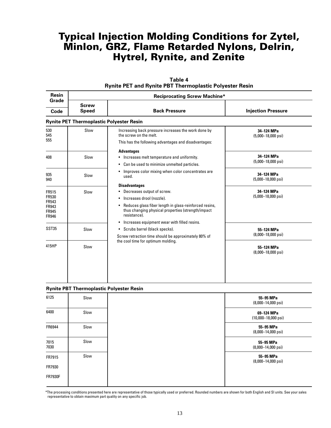| <b>Resin</b>                                                            |                              | <b>Reciprocating Screw Machine*</b>                                                                                                                                                                                  |                                            |  |  |  |  |  |
|-------------------------------------------------------------------------|------------------------------|----------------------------------------------------------------------------------------------------------------------------------------------------------------------------------------------------------------------|--------------------------------------------|--|--|--|--|--|
| Grade<br>Code                                                           | <b>Screw</b><br><b>Speed</b> | <b>Back Pressure</b>                                                                                                                                                                                                 | <b>Injection Pressure</b>                  |  |  |  |  |  |
|                                                                         |                              | <b>Rynite PET Thermoplastic Polyester Resin</b>                                                                                                                                                                      |                                            |  |  |  |  |  |
| 530<br>545<br>555                                                       | Slow                         | Increasing back pressure increases the work done by<br>the screw on the melt.<br>This has the following advantages and disadvantages:                                                                                | 34-124 MPa<br>$(5,000-18,000 \text{ psi})$ |  |  |  |  |  |
| 408                                                                     | Slow                         | <b>Advantages</b><br>Increases melt temperature and uniformity.<br>٠<br>Can be used to minimize unmelted particles.<br>٠                                                                                             | 34-124 MPa<br>$(5,000-18,000 \text{ psi})$ |  |  |  |  |  |
| 935<br>940                                                              | Slow                         | Improves color mixing when color concentrates are<br>٠<br>used.                                                                                                                                                      | 34-124 MPa<br>$(5,000-18,000 \text{ psi})$ |  |  |  |  |  |
| FR515<br>FR530<br><b>FR543</b><br>FR943<br><b>FR945</b><br><b>FR946</b> | Slow                         | <b>Disadvantages</b><br>Decreases output of screw.<br>Increases drool (nozzle).<br>Reduces glass fiber length in glass-reinforced resins,<br>٠<br>thus changing physical properties (strength/impact<br>resistance). | 34-124 MPa<br>$(5,000-18,000 \text{ psi})$ |  |  |  |  |  |
| SST35                                                                   | Slow                         | Increases equipment wear with filled resins.<br>٠<br>• Scrubs barrel (black specks).<br>Screw retraction time should be approximately 80% of                                                                         | 55-124 MPa<br>$(8,000-18,000 \text{ psi})$ |  |  |  |  |  |
| 415HP                                                                   | Slow                         | the cool time for optimum molding.                                                                                                                                                                                   | 55-124 MPa<br>$(8,000-18,000 \text{ psi})$ |  |  |  |  |  |
|                                                                         |                              |                                                                                                                                                                                                                      |                                            |  |  |  |  |  |

| Table 4                                                        |
|----------------------------------------------------------------|
| <b>Rynite PET and Rynite PBT Thermoplastic Polyester Resin</b> |

| <b>Rynite PBT Thermoplastic Polyester Resin</b> |  |  |  |  |  |  |
|-------------------------------------------------|--|--|--|--|--|--|
|-------------------------------------------------|--|--|--|--|--|--|

| 6125           | Slow | 55-95 MPa<br>$(8,000-14,000 \text{ psi})$     |
|----------------|------|-----------------------------------------------|
| 6400           | Slow | 69-124 MPa<br>$(10,000 - 18,000 \text{ psi})$ |
| FR6944         | Slow | 55-95 MPa<br>$(8,000-14,000 \text{ psi})$     |
| 7015<br>7030   | Slow | 55-95 MPa<br>$(8,000-14,000 \text{ psi})$     |
| FR7915         | Slow | 55-95 MPa<br>$(8,000-14,000 \text{ psi})$     |
| FR7930         |      |                                               |
| <b>FR7930F</b> |      |                                               |
|                |      |                                               |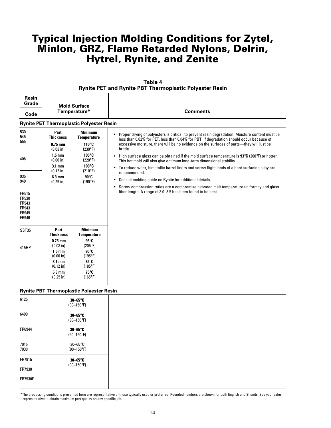| <b>Resin</b><br>Grade                                            |                                                                                                                      | <b>Mold Surface</b>                                                                                                  |                                                                                                                                                                                                         |  |  |  |
|------------------------------------------------------------------|----------------------------------------------------------------------------------------------------------------------|----------------------------------------------------------------------------------------------------------------------|---------------------------------------------------------------------------------------------------------------------------------------------------------------------------------------------------------|--|--|--|
| Code                                                             | Temperature*                                                                                                         |                                                                                                                      | <b>Comments</b>                                                                                                                                                                                         |  |  |  |
|                                                                  |                                                                                                                      | <b>Rynite PET Thermoplastic Polyester Resin</b>                                                                      |                                                                                                                                                                                                         |  |  |  |
| 530<br>545                                                       | Part<br><b>Thickness</b>                                                                                             | <b>Minimum</b><br><b>Temperature</b>                                                                                 | • Proper drying of polyesters is critical, to prevent resin degradation. Moisture content must be<br>less than 0.02% for PET, less than 0.04% for PBT. If degradation should occur because of           |  |  |  |
| 555                                                              | $0.75$ mm<br>(0.03 in)                                                                                               | 110°C<br>$(230^{\circ}F)$                                                                                            | excessive moisture, there will be no evidence on the surfaces of parts—they will just be<br>brittle.                                                                                                    |  |  |  |
| 408                                                              | $1.5 \text{ mm}$<br>$(0.06)$ in)                                                                                     | 105°C<br>$(220^{\circ}F)$                                                                                            | High surface gloss can be obtained if the mold surface temperature is $93^{\circ}C$ (200 $^{\circ}F$ ) or hotter.<br>$\bullet$<br>This hot mold will also give optimum long-term dimensional stability. |  |  |  |
|                                                                  | $3.1 \text{ mm}$<br>(0.12 in)                                                                                        | 100°C<br>$(210^{\circ}F)$                                                                                            | • To reduce wear, bimetallic barrel liners and screw flight lands of a hard surfacing alloy are<br>recommended.                                                                                         |  |  |  |
| 935<br>940                                                       | 6.3 mm<br>$(0.25$ in)                                                                                                | $90^\circ C$<br>$(190^{\circ}F)$                                                                                     | Consult molding guide on Rynite for additional details.<br>٠                                                                                                                                            |  |  |  |
| FR515<br>FR530<br>FR543<br>FR943<br><b>FR945</b><br><b>FR946</b> |                                                                                                                      |                                                                                                                      | Screw compression ratios are a compromise between melt temperature uniformity and glass<br>$\bullet$<br>fiber length. A range of 3.0-3.5 has been found to be best.                                     |  |  |  |
| SST35                                                            | Part<br><b>Thickness</b>                                                                                             | <b>Minimum</b><br><b>Temperature</b>                                                                                 |                                                                                                                                                                                                         |  |  |  |
| 415HP                                                            | $0.75$ mm<br>(0.03 in)<br>$1.5 \text{ mm}$<br>$(0.06)$ in)<br>$3.1 \text{ mm}$<br>(0.12 in)<br>6.3 mm<br>$(0.25$ in) | 95°C<br>$(205^{\circ}F)$<br>$90^\circ C$<br>$(195^{\circ}F)$<br>85°C<br>$(185^{\circ}F)$<br>75°C<br>$(165^{\circ}F)$ |                                                                                                                                                                                                         |  |  |  |
|                                                                  |                                                                                                                      | <b>Rynite PBT Thermoplastic Polyester Resin</b>                                                                      |                                                                                                                                                                                                         |  |  |  |
| 6125                                                             |                                                                                                                      | $30 - 65^\circ$ C                                                                                                    |                                                                                                                                                                                                         |  |  |  |

| Table 4                                                 |  |
|---------------------------------------------------------|--|
| Rynite PET and Rynite PBT Thermoplastic Polyester Resin |  |

| 6125           | $30 - 65^\circ$ C<br>$(90 - 150$ °F) |
|----------------|--------------------------------------|
| 6400           | 30-65°C<br>$(90 - 150$ °F)           |
| FR6944         | 30-65°C<br>$(90 - 150$ °F)           |
| 7015<br>7030   | 30-65°C<br>$(90 - 150$ °F)           |
| FR7915         | 30-65°C<br>$(90 - 150$ °F)           |
| FR7930         |                                      |
| <b>FR7930F</b> |                                      |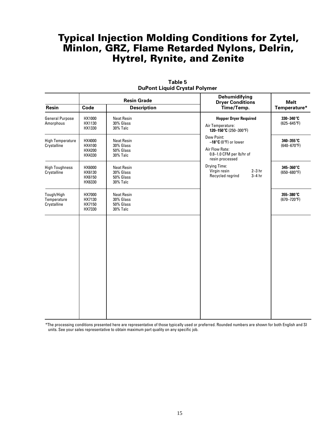|                                          |                                                                                 | <b>Resin Grade</b>                                             | <b>Dehumidifying</b><br><b>Dryer Conditions</b>                                                               | <b>Melt</b>                   |  |
|------------------------------------------|---------------------------------------------------------------------------------|----------------------------------------------------------------|---------------------------------------------------------------------------------------------------------------|-------------------------------|--|
| Resin                                    | Code<br><b>Description</b>                                                      |                                                                | Time/Temp.                                                                                                    | Temperature*                  |  |
| <b>General Purpose</b><br>Amorphous      | HX1000<br><b>Neat Resin</b><br>30% Glass<br>HX1130<br>HX1330<br><b>30% Talc</b> |                                                                | <b>Hopper Dryer Required</b><br>Air Temperature:<br>120-150°C (250-300°F)                                     | 330-340°C<br>$(625 - 645$ °F) |  |
| <b>High Temperature</b><br>Crystalline   | HX4000<br>HX4100<br>HX4200<br>HX4330                                            | <b>Neat Resin</b><br>30% Glass<br>50% Glass<br><b>30% Talc</b> | Dew Point:<br>$-18^{\circ}$ C (0°F) or lower<br>Air Flow Rate:<br>0.8-1.0 CFM per lb/hr of<br>resin processed | 340-355°C<br>$(640 - 670$ °F) |  |
| <b>High Toughness</b><br>Crystalline     | HX6000<br>HX6130<br>HX6150<br>HX6330                                            | <b>Neat Resin</b><br>30% Glass<br>50% Glass<br><b>30% Talc</b> | <b>Drying Time:</b><br>Virgin resin<br>$2-3$ hr<br>Recycled regrind<br>$3-4$ hr                               | 345-360°C<br>$(650 - 680$ °F) |  |
| Tough/High<br>Temperature<br>Crystalline | HX7000<br>HX7130<br>HX7150<br>HX7330                                            | <b>Neat Resin</b><br>30% Glass<br>50% Glass<br>30% Talc        |                                                                                                               | 355-380°C<br>$(670 - 720$ °F) |  |
|                                          |                                                                                 |                                                                |                                                                                                               |                               |  |
|                                          |                                                                                 |                                                                |                                                                                                               |                               |  |
|                                          |                                                                                 |                                                                |                                                                                                               |                               |  |
|                                          |                                                                                 |                                                                |                                                                                                               |                               |  |

**Table 5 DuPont Liquid Crystal Polymer**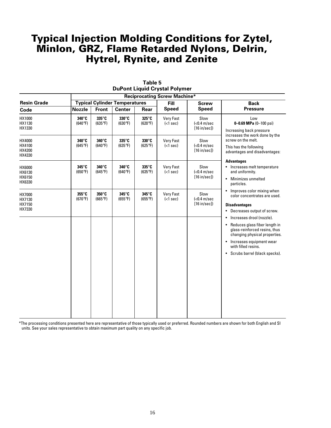|                                      |                  | <b>Reciprocating Screw Machine*</b> |                                      |                           |                                         |                                                                  |                                                                                                                                                                   |  |  |
|--------------------------------------|------------------|-------------------------------------|--------------------------------------|---------------------------|-----------------------------------------|------------------------------------------------------------------|-------------------------------------------------------------------------------------------------------------------------------------------------------------------|--|--|
| <b>Resin Grade</b>                   |                  |                                     | <b>Typical Cylinder Temperatures</b> |                           | <b>Fill</b>                             | <b>Screw</b>                                                     | <b>Back</b>                                                                                                                                                       |  |  |
| Code                                 | <b>Nozzle</b>    | <b>Front</b>                        | <b>Center</b>                        | Rear                      | <b>Speed</b>                            | <b>Speed</b>                                                     | <b>Pressure</b>                                                                                                                                                   |  |  |
| HX1000<br>HX1130<br>HX1330           | 340°C<br>(640°F) | 335°C<br>$(635^{\circ}F)$           | $330^\circ$ C<br>(630°F)             | 325°C<br>(620°F)          | <b>Very Fast</b><br>( <sub>1</sub> sec) | Slow<br>$\left\langle 0.4 \right\rangle$ m/sec<br>$[16$ in/sec]) | Low<br>0-0.69 MPa $(0-100 \text{ psi})$<br>Increasing back pressure                                                                                               |  |  |
| HX4000<br>HX4100<br>HX4200<br>HX4330 | 340°C<br>(645°F) | 340°C<br>(640°F)                    | 335°C<br>$(635^{\circ}F)$            | 330°C<br>$(625^{\circ}F)$ | <b>Very Fast</b><br>$(1 sec)$           | Slow<br>$(0.4 \, \text{m/sec}[16 in/sec])$                       | increases the work done by the<br>screw on the melt.<br>This has the following<br>advantages and disadvantages:                                                   |  |  |
| HX6000<br>HX6130<br>HX6150<br>HX6330 | 345°C<br>(650°F) | 340°C<br>$(645^{\circ}F)$           | 340°C<br>(640°F)                     | 335°C<br>$(635^{\circ}F)$ | <b>Very Fast</b><br>$(1 sec)$           | Slow<br>$\left\langle 0.4 \right\rangle$ m/sec<br>$[16$ in/sec]) | <b>Advantages</b><br>• Increases melt temperature<br>and uniformity.<br>• Minimizes unmelted<br>particles.                                                        |  |  |
| HX7000<br>HX7130<br>HX7150<br>HX7330 | 355°C<br>(670°F) | 350°C<br>$(665^{\circ}F)$           | 345°C<br>$(655^{\circ}F)$            | 345°C<br>$(655^{\circ}F)$ | <b>Very Fast</b><br>$(1 sec)$           | Slow<br>$\left( <0.4 \right)$ m/sec<br>[16 in/sec]               | • Improves color mixing when<br>color concentrates are used.<br><b>Disadvantages</b><br>• Decreases output of screw.                                              |  |  |
|                                      |                  |                                     |                                      |                           |                                         |                                                                  | Increases drool (nozzle).<br>٠<br>• Reduces glass fiber length in<br>glass-reinforced resins, thus<br>changing physical properties.<br>• Increases equipment wear |  |  |
|                                      |                  |                                     |                                      |                           |                                         |                                                                  | with filled resins.<br>• Scrubs barrel (black specks).                                                                                                            |  |  |
|                                      |                  |                                     |                                      |                           |                                         |                                                                  |                                                                                                                                                                   |  |  |

|  | Table 5 |                                      |
|--|---------|--------------------------------------|
|  |         | <b>DuPont Liquid Crystal Polymer</b> |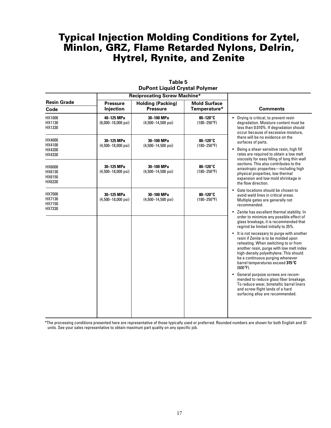|                                      |                                            | <b>Reciprocating Screw Machine*</b>         |                                         |                                                                                                                                                                                                                                                                                                               |
|--------------------------------------|--------------------------------------------|---------------------------------------------|-----------------------------------------|---------------------------------------------------------------------------------------------------------------------------------------------------------------------------------------------------------------------------------------------------------------------------------------------------------------|
| <b>Resin Grade</b><br>Code           | <b>Pressure</b><br>Injection               | <b>Holding (Packing)</b><br><b>Pressure</b> | <b>Mold Surface</b><br>Temperature*     | <b>Comments</b>                                                                                                                                                                                                                                                                                               |
| HX1000<br>HX1130<br>HX1330           | 40-125 MPa<br>$(6,000-18,000 \text{ psi})$ | 30-100 MPa<br>$(4,500-14,500 \text{ psi})$  | $80-120^\circ$ C<br>$(180 - 250$ °F)    | • Drying is critical, to prevent resin<br>degradation. Moisture content must be<br>less than 0.010%. If degradation should<br>occur because of excessive moisture.                                                                                                                                            |
| HX4000<br>HX4100<br>HX4200<br>HX4330 | 30-125 MPa<br>$(4,500-18,000 \text{ psi})$ | 30-100 MPa<br>$(4,500-14,500 \text{ psi})$  | $80-120^\circ$ C<br>$(180 - 250$ °F)    | there will be no evidence on the<br>surfaces of parts.<br>Being a shear-sensitive resin, high fill<br>rates are required to obtain a low melt<br>viscosity for easy filling of long thin wall                                                                                                                 |
| HX6000<br>HX6130<br>HX6150<br>HX6330 | 30-125 MPa<br>$(4,500-18,000 \text{ psi})$ | 30-100 MPa<br>$(4,500-14,500 \text{ psi})$  | $80-120^\circ$ C<br>$(180 - 250$ °F)    | sections. This also contributes to the<br>anisotropic properties-including high<br>physical properties, low thermal<br>expansion and low mold shrinkage in<br>the flow direction.                                                                                                                             |
| HX7000<br>HX7130<br>HX7150<br>HX7330 | 30-125 MPa<br>$(4,500-18,000 \text{ psi})$ | 30-100 MPa<br>$(4,500-14,500 \text{ psi})$  | 80-120 $^{\circ}$ C<br>$(180 - 250$ °F) | Gate locations should be chosen to<br>avoid weld lines in critical areas.<br>Multiple gates are generally not<br>recommended.                                                                                                                                                                                 |
|                                      |                                            |                                             |                                         | Zenite has excellent thermal stability. In<br>order to minimize any possible effect of<br>glass breakage, it is recommended that<br>regrind be limited initially to 25%.                                                                                                                                      |
|                                      |                                            |                                             |                                         | It is not necessary to purge with another<br>resin if Zenite is to be molded upon<br>reheating. When switching to or from<br>another resin, purge with low melt index<br>high-density polyethylene. This should<br>be a continuous purging whenever<br>barrel temperatures exceed 315°C<br>$(600^{\circ}F)$ . |
|                                      |                                            |                                             |                                         | General purpose screws are recom-<br>mended to reduce glass fiber breakage.<br>To reduce wear, bimetallic barrel liners<br>and screw flight lands of a hard<br>surfacing alloy are recommended.                                                                                                               |

**Table 5 DuPont Liquid Crystal Polymer**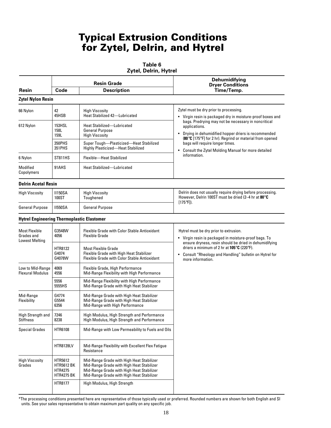# Typical Extrusion Conditions for Zytel, Delrin, and Hytrel

#### **Table 6**

**Zytel, Delrin, Hytrel**

|                                                             |                                                                     | <b>Resin Grade</b>                                                                                                                                                               | Dehumidifying<br><b>Dryer Conditions</b>                                                                                                                                                                                                                                                                   |  |  |
|-------------------------------------------------------------|---------------------------------------------------------------------|----------------------------------------------------------------------------------------------------------------------------------------------------------------------------------|------------------------------------------------------------------------------------------------------------------------------------------------------------------------------------------------------------------------------------------------------------------------------------------------------------|--|--|
| Resin                                                       | Code<br><b>Description</b>                                          |                                                                                                                                                                                  | Time/Temp.                                                                                                                                                                                                                                                                                                 |  |  |
| <b>Zytel Nylon Resin</b>                                    |                                                                     |                                                                                                                                                                                  |                                                                                                                                                                                                                                                                                                            |  |  |
| 66 Nylon                                                    | 42<br>45HSB                                                         | <b>High Viscosity</b><br>Heat Stabilized 42-Lubricated                                                                                                                           | Zytel must be dry prior to processing.<br>• Virgin resin is packaged dry in moisture-proof boxes and                                                                                                                                                                                                       |  |  |
| 612 Nylon                                                   | 153HSL<br>158L<br>159L                                              | <b>Heat Stabilized-Lubricated</b><br><b>General Purpose</b><br><b>High Viscosity</b>                                                                                             | bags. Predrying may not be necessary in noncritical<br>applications.<br>Drying in dehumidified hopper driers is recommended<br>$\bullet$<br>(80°C [175°F] for 2 hr). Regrind or material from opened<br>bags will require longer times.<br>Consult the Zytel Molding Manual for more detailed<br>$\bullet$ |  |  |
|                                                             | 350PHS<br>351 PHS                                                   | Super Tough-Plasticized-Heat Stabilized<br>Highly Plasticized-Heat Stabilized                                                                                                    |                                                                                                                                                                                                                                                                                                            |  |  |
| 6 Nylon                                                     | <b>ST811HS</b>                                                      | Flexible-Heat Stabilized                                                                                                                                                         | information.                                                                                                                                                                                                                                                                                               |  |  |
| Modified<br>Copolymers                                      | 91AHS                                                               | <b>Heat Stabilized-Lubricated</b>                                                                                                                                                |                                                                                                                                                                                                                                                                                                            |  |  |
| <b>Delrin Acetal Resin</b>                                  |                                                                     |                                                                                                                                                                                  |                                                                                                                                                                                                                                                                                                            |  |  |
| <b>High Viscosity</b>                                       | <b>II150SA</b><br>100ST                                             | <b>High Viscosity</b><br>Toughened                                                                                                                                               | Delrin does not usually require drying before processing.<br>However, Delrin 100ST must be dried (2-4 hr at 80°C<br>$[175^{\circ}$ F]).                                                                                                                                                                    |  |  |
| <b>General Purpose</b>                                      | <b>II550SA</b>                                                      | <b>General Purpose</b>                                                                                                                                                           |                                                                                                                                                                                                                                                                                                            |  |  |
| <b>Hytrel Engineering Thermoplastic Elastomer</b>           |                                                                     |                                                                                                                                                                                  |                                                                                                                                                                                                                                                                                                            |  |  |
| <b>Most Flexible</b><br>Grades and<br><b>Lowest Melting</b> | G3548W<br>4056                                                      | <b>Flexible Grade with Color Stable Antioxidant</b><br><b>Flexible Grade</b>                                                                                                     | Hytrel must be dry prior to extrusion.<br>• Virgin resin is packaged in moisture-proof bags. To                                                                                                                                                                                                            |  |  |
|                                                             | HTR8122<br>G4074<br>G4078W                                          | <b>Most Flexible Grade</b><br>Flexible Grade with High Heat Stabilizer<br><b>Flexible Grade with Color Stable Antioxidant</b>                                                    | ensure dryness, resin should be dried in dehumidifying<br>driers a minimum of 2 hr at 105°C (220°F).<br>Consult "Rheology and Handling" bulletin on Hytrel for<br>more information.                                                                                                                        |  |  |
| Low to Mid-Range<br><b>Flexural Modulus</b>                 | 4069<br>4556                                                        | Flexible Grade, High Performance<br>Mid-Range Flexibility with High Performance                                                                                                  |                                                                                                                                                                                                                                                                                                            |  |  |
|                                                             | 5556<br>5555HS                                                      | Mid-Range Flexibility with High Performance<br>Mid-Range Grade with High Heat Stabilizer                                                                                         |                                                                                                                                                                                                                                                                                                            |  |  |
| Mid-Range<br>Flexibility                                    | G4774<br>G5544<br>6356                                              | Mid-Range Grade with High Heat Stabilizer<br>Mid-Range Grade with High Heat Stabilizer<br>Mid-Range with High Performance                                                        |                                                                                                                                                                                                                                                                                                            |  |  |
| High Strength and<br><b>Stiffness</b>                       | 7246<br>8238                                                        | High Modulus, High Strength and Performance<br>High Modulus, High Strength and Performance                                                                                       |                                                                                                                                                                                                                                                                                                            |  |  |
| <b>Special Grades</b>                                       | <b>HTR6108</b>                                                      | Mid-Range with Low Permeability to Fuels and Oils                                                                                                                                |                                                                                                                                                                                                                                                                                                            |  |  |
|                                                             | <b>HTR8139LV</b>                                                    | Mid-Range Flexibility with Excellent Flex Fatigue<br>Resistance                                                                                                                  |                                                                                                                                                                                                                                                                                                            |  |  |
| <b>High Viscosity</b><br>Grades                             | HTR5612<br><b>HTR5612 BK</b><br><b>HTR4275</b><br><b>HTR4275 BK</b> | Mid-Range Grade with High Heat Stabilizer<br>Mid-Range Grade with High Heat Stabilizer<br>Mid-Range Grade with High Heat Stabilizer<br>Mid-Range Grade with High Heat Stabilizer |                                                                                                                                                                                                                                                                                                            |  |  |
|                                                             | HTR8177                                                             | High Modulus, High Strength                                                                                                                                                      |                                                                                                                                                                                                                                                                                                            |  |  |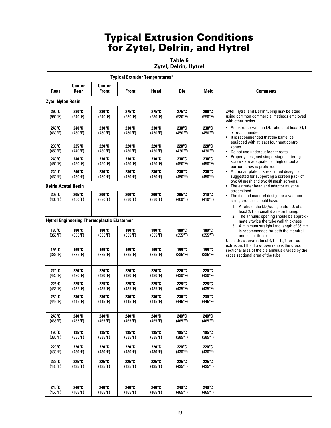# Typical Extrusion Conditions for Zytel, Delrin, and Hytrel

**Table 6**

**Zytel, Delrin, Hytrel**

| <b>Typical Extruder Temperatures*</b> |                           |                                                   |                           |                                   |                                   |                                   |                                                                                                                                                                                                                                                                                                                                                                                                                                                                                                                                             |
|---------------------------------------|---------------------------|---------------------------------------------------|---------------------------|-----------------------------------|-----------------------------------|-----------------------------------|---------------------------------------------------------------------------------------------------------------------------------------------------------------------------------------------------------------------------------------------------------------------------------------------------------------------------------------------------------------------------------------------------------------------------------------------------------------------------------------------------------------------------------------------|
| Rear                                  | Center<br>Rear            | <b>Center</b><br><b>Front</b>                     | <b>Front</b>              | Head                              | <b>Die</b>                        | Melt                              | <b>Comments</b>                                                                                                                                                                                                                                                                                                                                                                                                                                                                                                                             |
| <b>Zytel Nylon Resin</b>              |                           |                                                   |                           |                                   |                                   |                                   |                                                                                                                                                                                                                                                                                                                                                                                                                                                                                                                                             |
| 290°C<br>(550°F)                      | 280°C<br>(540°F)          | 280°C<br>(540°F)                                  | 275°C<br>(530°F)          | 275°C<br>(530°F)                  | 275°C<br>(530°F)                  | 290°C<br>(550°F)                  | Zytel, Hytrel and Delrin tubing may be sized<br>using common commercial methods employed<br>with other resins.<br>• An extruder with an L/D ratio of at least 24/1<br>is recommended.<br>• It is recommended that the barrel be<br>equipped with at least four heat control<br>zones.<br>• Do not use undercut feed throats.<br>Properly designed single-stage metering<br>screws are adequate. For high output a<br>barrier screw is preferred.<br>• A breaker plate of streamlined design is<br>suggested for supporting a screen pack of |
| 240°C<br>(460°F)                      | 240°C<br>(460°F)          | 230°C<br>(450°F)                                  | 230°C<br>(450°F)          | 230°C<br>(450°F)                  | 230°C<br>(450°F)                  | 230°C<br>(450°F)                  |                                                                                                                                                                                                                                                                                                                                                                                                                                                                                                                                             |
| 230°C<br>(450°F)                      | 225°C<br>(440°F)          | $220^\circ C$<br>$(430^{\circ}F)$                 | 220°C<br>(430°F)          | $220^\circ C$<br>$(430^{\circ}F)$ | $220^\circ C$<br>$(430^{\circ}F)$ | 220°C<br>$(430^{\circ}F)$         |                                                                                                                                                                                                                                                                                                                                                                                                                                                                                                                                             |
| 240°C<br>(460°F)                      | 240°C<br>(460°F)          | 230°C<br>(450°F)                                  | $230^\circ$ C<br>(450°F)  | 230°C<br>(450°F)                  | 230°C<br>(450°F)                  | 230°C<br>(450°F)                  |                                                                                                                                                                                                                                                                                                                                                                                                                                                                                                                                             |
| 240°C<br>(460°F)                      | 240°C<br>(460°F)          | 230°C<br>(450°F)                                  | 230°C<br>(450°F)          | 230°C<br>(450°F)                  | 230°C<br>(450°F)                  | 230°C<br>(450°F)                  |                                                                                                                                                                                                                                                                                                                                                                                                                                                                                                                                             |
| <b>Delrin Acetal Resin</b>            |                           |                                                   |                           |                                   |                                   |                                   | two 60 mesh and two 80 mesh screens.<br>• The extruder head and adaptor must be                                                                                                                                                                                                                                                                                                                                                                                                                                                             |
| 205°C<br>$(400^{\circ}F)$             | 205°C<br>$(400^{\circ}F)$ | 200°C<br>(390°F)                                  | 200°C<br>(390°F)          | 200°C<br>(390°F)                  | $205^\circ C$<br>$(400^{\circ}F)$ | $210^\circ C$<br>$(410^{\circ}F)$ | streamlined.<br>• The die and mandrel design for a vacuum<br>sizing process should have:<br>1. A ratio of die I.D./sizing plate I.D. of at<br>least 2/1 for small diameter tubing.                                                                                                                                                                                                                                                                                                                                                          |
|                                       |                           | <b>Hytrel Engineering Thermoplastic Elastomer</b> |                           |                                   |                                   |                                   | 2. The annulus opening should be approxi-<br>mately twice the tube wall thickness.                                                                                                                                                                                                                                                                                                                                                                                                                                                          |
| 180°C<br>$(355^{\circ}F)$             | 180°C<br>$(355^{\circ}F)$ | 180°C<br>$(355^{\circ}F)$                         | 180°C<br>$(355^{\circ}F)$ | 180°C<br>$(355^{\circ}F)$         | 180°C<br>$(355^{\circ}F)$         | 180°C<br>$(355^{\circ}F)$         | 3. A minimum straight land length of 35 mm<br>is recommended for both the mandrel<br>and die at the exit.<br>Use a drawdown ratio of 4/1 to 10/1 for free<br>extrusion. (The drawdown ratio is the cross<br>sectional area of the die annulus divided by the<br>cross sectional area of the tube.)                                                                                                                                                                                                                                          |
| 195°C<br>$(385^{\circ}F)$             | 195°C<br>$(385^{\circ}F)$ | 195°C<br>$(385^{\circ}F)$                         | 195°C<br>$(385^{\circ}F)$ | 195°C<br>$(385^{\circ}F)$         | 195°C<br>$(385^{\circ}F)$         | 195°C<br>$(385^{\circ}F)$         |                                                                                                                                                                                                                                                                                                                                                                                                                                                                                                                                             |
| 220°C<br>(430°F)                      | 220°C<br>$(430^{\circ}F)$ | 220°C<br>$(430^{\circ}F)$                         | 220°C<br>(430°F)          | 220°C<br>$(430^{\circ}F)$         | 220°C<br>$(430^{\circ}F)$         | 220°C<br>(430°F)                  |                                                                                                                                                                                                                                                                                                                                                                                                                                                                                                                                             |
| 225°C<br>$(435^{\circ}F)$             | 225°C<br>$(435^{\circ}F)$ | 225°C<br>$(435^{\circ}F)$                         | 225°C<br>$(435^{\circ}F)$ | 225°C<br>$(435^{\circ}F)$         | 225°C<br>$(435^{\circ}F)$         | 225°C<br>(435°F)                  |                                                                                                                                                                                                                                                                                                                                                                                                                                                                                                                                             |
| 230°C<br>(445°F)                      | 230°C<br>(445°F)          | $230^\circ$ C<br>(445°F)                          | 230°C<br>$(445^{\circ}F)$ | 230°C<br>(445°F)                  | 230°C<br>$(445^{\circ}F)$         | 230°C<br>(445°F)                  |                                                                                                                                                                                                                                                                                                                                                                                                                                                                                                                                             |
| 240°C<br>$(465^{\circ}F)$             | 240°C<br>$(465^{\circ}F)$ | 240°C<br>$(465^{\circ}F)$                         | 240°C<br>$(465^{\circ}F)$ | 240°C<br>$(465^{\circ}F)$         | 240°C<br>$(465^{\circ}F)$         | 240°C<br>$(465^{\circ}F)$         |                                                                                                                                                                                                                                                                                                                                                                                                                                                                                                                                             |
| 195°C<br>$(385^{\circ}F)$             | 195°C<br>$(385^{\circ}F)$ | 195°C<br>$(385^{\circ}F)$                         | 195°C<br>$(385^{\circ}F)$ | 195°C<br>$(385^{\circ}F)$         | 195°C<br>$(385^{\circ}F)$         | 195°C<br>$(385^{\circ}F)$         |                                                                                                                                                                                                                                                                                                                                                                                                                                                                                                                                             |
| 220°C<br>(430°F)                      | 220°C<br>(430°F)          | 220°C<br>(430°F)                                  | 220°C<br>(430°F)          | 220°C<br>(430°F)                  | 220°C<br>(430°F)                  | 220°C<br>(430°F)                  |                                                                                                                                                                                                                                                                                                                                                                                                                                                                                                                                             |
| 225°C<br>$(435^{\circ}F)$             | 225°C<br>$(435^{\circ}F)$ | 225°C<br>$(435^{\circ}F)$                         | 225°C<br>$(435^{\circ}F)$ | 225°C<br>(435°F)                  | 225°C<br>$(435^{\circ}F)$         | 225°C<br>$(435^{\circ}F)$         |                                                                                                                                                                                                                                                                                                                                                                                                                                                                                                                                             |
| 240°C<br>$(465^{\circ}F)$             | 240°C<br>$(465^{\circ}F)$ | 240°C<br>$(465^{\circ}F)$                         | 240°C<br>(465°F)          | 240°C<br>$(465^{\circ}F)$         | 240°C<br>$(465^{\circ}F)$         | 240°C<br>$(465^{\circ}F)$         |                                                                                                                                                                                                                                                                                                                                                                                                                                                                                                                                             |